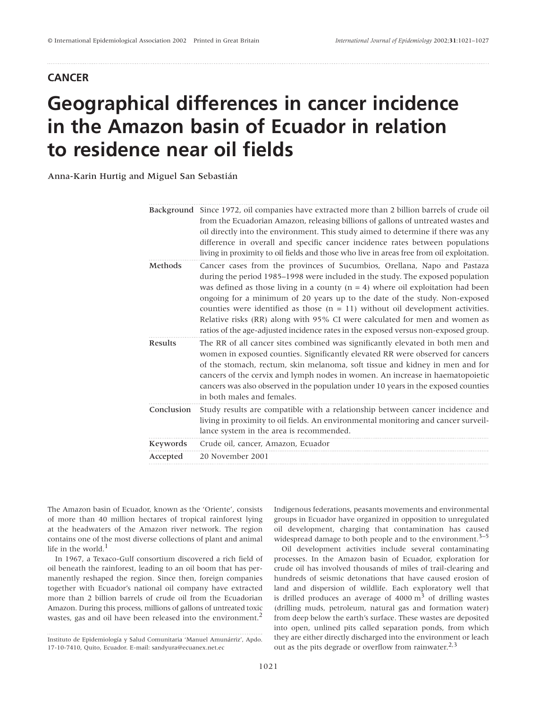## **CANCER**

## **Geographical differences in cancer incidence in the Amazon basin of Ecuador in relation to residence near oil fields**

Anna-Karin Hurtig and Miguel San Sebastián

|                | Background Since 1972, oil companies have extracted more than 2 billion barrels of crude oil<br>from the Ecuadorian Amazon, releasing billions of gallons of untreated wastes and<br>oil directly into the environment. This study aimed to determine if there was any<br>difference in overall and specific cancer incidence rates between populations<br>living in proximity to oil fields and those who live in areas free from oil exploitation.                                                                                                                                     |
|----------------|------------------------------------------------------------------------------------------------------------------------------------------------------------------------------------------------------------------------------------------------------------------------------------------------------------------------------------------------------------------------------------------------------------------------------------------------------------------------------------------------------------------------------------------------------------------------------------------|
| Methods        | Cancer cases from the provinces of Sucumbios, Orellana, Napo and Pastaza<br>during the period 1985–1998 were included in the study. The exposed population<br>was defined as those living in a county ( $n = 4$ ) where oil exploitation had been<br>ongoing for a minimum of 20 years up to the date of the study. Non-exposed<br>counties were identified as those $(n = 11)$ without oil development activities.<br>Relative risks (RR) along with 95% CI were calculated for men and women as<br>ratios of the age-adjusted incidence rates in the exposed versus non-exposed group. |
| <b>Results</b> | The RR of all cancer sites combined was significantly elevated in both men and<br>women in exposed counties. Significantly elevated RR were observed for cancers<br>of the stomach, rectum, skin melanoma, soft tissue and kidney in men and for<br>cancers of the cervix and lymph nodes in women. An increase in haematopoietic<br>cancers was also observed in the population under 10 years in the exposed counties<br>in both males and females.                                                                                                                                    |
| Conclusion     | Study results are compatible with a relationship between cancer incidence and<br>living in proximity to oil fields. An environmental monitoring and cancer surveil-<br>lance system in the area is recommended.                                                                                                                                                                                                                                                                                                                                                                          |
| Keywords       | Crude oil, cancer, Amazon, Ecuador                                                                                                                                                                                                                                                                                                                                                                                                                                                                                                                                                       |
| Accepted       | 20 November 2001                                                                                                                                                                                                                                                                                                                                                                                                                                                                                                                                                                         |

The Amazon basin of Ecuador, known as the 'Oriente', consists of more than 40 million hectares of tropical rainforest lying at the headwaters of the Amazon river network. The region contains one of the most diverse collections of plant and animal life in the world. $<sup>1</sup>$ </sup>

In 1967, a Texaco-Gulf consortium discovered a rich field of oil beneath the rainforest, leading to an oil boom that has permanently reshaped the region. Since then, foreign companies together with Ecuador's national oil company have extracted more than 2 billion barrels of crude oil from the Ecuadorian Amazon. During this process, millions of gallons of untreated toxic wastes, gas and oil have been released into the environment.<sup>2</sup> Indigenous federations, peasants movements and environmental groups in Ecuador have organized in opposition to unregulated oil development, charging that contamination has caused widespread damage to both people and to the environment.<sup>3-5</sup>

Oil development activities include several contaminating processes. In the Amazon basin of Ecuador, exploration for crude oil has involved thousands of miles of trail-clearing and hundreds of seismic detonations that have caused erosion of land and dispersion of wildlife. Each exploratory well that is drilled produces an average of  $4000 \text{ m}^3$  of drilling wastes (drilling muds, petroleum, natural gas and formation water) from deep below the earth's surface. These wastes are deposited into open, unlined pits called separation ponds, from which they are either directly discharged into the environment or leach out as the pits degrade or overflow from rainwater.<sup>2,3</sup>

Instituto de Epidemiología y Salud Comunitaria 'Manuel Amunárriz', Apdo. 17-10-7410, Quito, Ecuador. E-mail: sandyura@ecuanex.net.ec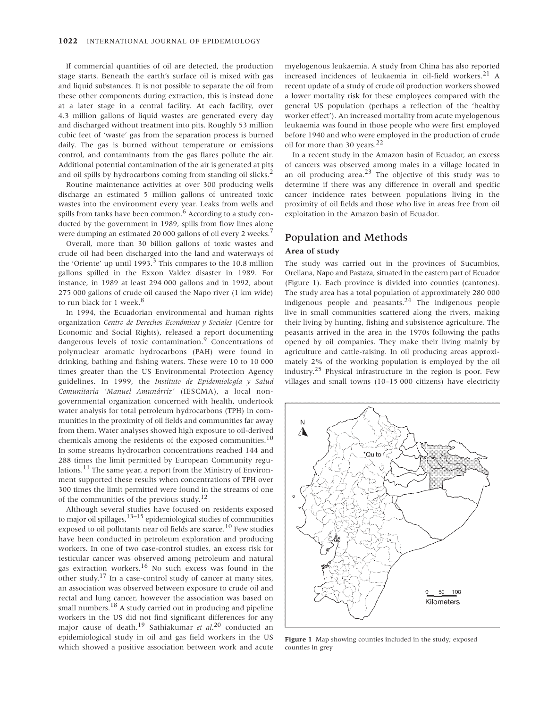If commercial quantities of oil are detected, the production stage starts. Beneath the earth's surface oil is mixed with gas and liquid substances. It is not possible to separate the oil from these other components during extraction, this is instead done at a later stage in a central facility. At each facility, over 4.3 million gallons of liquid wastes are generated every day and discharged without treatment into pits. Roughly 53 million cubic feet of 'waste' gas from the separation process is burned daily. The gas is burned without temperature or emissions control, and contaminants from the gas flares pollute the air. Additional potential contamination of the air is generated at pits and oil spills by hydrocarbons coming from standing oil slicks.<sup>2</sup>

Routine maintenance activities at over 300 producing wells discharge an estimated 5 million gallons of untreated toxic wastes into the environment every year. Leaks from wells and spills from tanks have been common.<sup>6</sup> According to a study conducted by the government in 1989, spills from flow lines alone were dumping an estimated 20 000 gallons of oil every 2 weeks.<sup>7</sup>

Overall, more than 30 billion gallons of toxic wastes and crude oil had been discharged into the land and waterways of the 'Oriente' up until  $1993.3$ <sup>3</sup> This compares to the 10.8 million gallons spilled in the Exxon Valdez disaster in 1989. For instance, in 1989 at least 294 000 gallons and in 1992, about 275 000 gallons of crude oil caused the Napo river (1 km wide) to run black for 1 week.<sup>8</sup>

In 1994, the Ecuadorian environmental and human rights organization *Centro de Derechos Económicos y Sociales* (Centre for Economic and Social Rights), released a report documenting dangerous levels of toxic contamination.<sup>9</sup> Concentrations of polynuclear aromatic hydrocarbons (PAH) were found in drinking, bathing and fishing waters. These were 10 to 10 000 times greater than the US Environmental Protection Agency guidelines. In 1999, the *Instituto de Epidemiología y Salud Comunitaria 'Manuel Amunárriz'* (IESCMA), a local nongovernmental organization concerned with health, undertook water analysis for total petroleum hydrocarbons (TPH) in communities in the proximity of oil fields and communities far away from them. Water analyses showed high exposure to oil-derived chemicals among the residents of the exposed communities.<sup>10</sup> In some streams hydrocarbon concentrations reached 144 and 288 times the limit permitted by European Community regulations.<sup>11</sup> The same year, a report from the Ministry of Environment supported these results when concentrations of TPH over 300 times the limit permitted were found in the streams of one of the communities of the previous study.12

Although several studies have focused on residents exposed to major oil spillages,  $13-15$  epidemiological studies of communities exposed to oil pollutants near oil fields are scarce.<sup>10</sup> Few studies have been conducted in petroleum exploration and producing workers. In one of two case-control studies, an excess risk for testicular cancer was observed among petroleum and natural gas extraction workers.16 No such excess was found in the other study.<sup>17</sup> In a case-control study of cancer at many sites, an association was observed between exposure to crude oil and rectal and lung cancer, however the association was based on small numbers.<sup>18</sup> A study carried out in producing and pipeline workers in the US did not find significant differences for any major cause of death.19 Sathiakumar *et al*. <sup>20</sup> conducted an epidemiological study in oil and gas field workers in the US which showed a positive association between work and acute

myelogenous leukaemia. A study from China has also reported increased incidences of leukaemia in oil-field workers. $21$  A recent update of a study of crude oil production workers showed a lower mortality risk for these employees compared with the general US population (perhaps a reflection of the 'healthy worker effect'). An increased mortality from acute myelogenous leukaemia was found in those people who were first employed before 1940 and who were employed in the production of crude oil for more than 30 years.<sup>22</sup>

In a recent study in the Amazon basin of Ecuador, an excess of cancers was observed among males in a village located in an oil producing area. $2<sup>3</sup>$  The objective of this study was to determine if there was any difference in overall and specific cancer incidence rates between populations living in the proximity of oil fields and those who live in areas free from oil exploitation in the Amazon basin of Ecuador.

## Population and Methods

#### **Area of study**

The study was carried out in the provinces of Sucumbios, Orellana, Napo and Pastaza, situated in the eastern part of Ecuador (Figure 1). Each province is divided into counties (cantones). The study area has a total population of approximately 280 000 indigenous people and peasants. $24$  The indigenous people live in small communities scattered along the rivers, making their living by hunting, fishing and subsistence agriculture. The peasants arrived in the area in the 1970s following the paths opened by oil companies. They make their living mainly by agriculture and cattle-raising. In oil producing areas approximately 2% of the working population is employed by the oil industry.<sup>25</sup> Physical infrastructure in the region is poor. Few villages and small towns (10–15 000 citizens) have electricity



Figure 1 Map showing counties included in the study; exposed counties in grey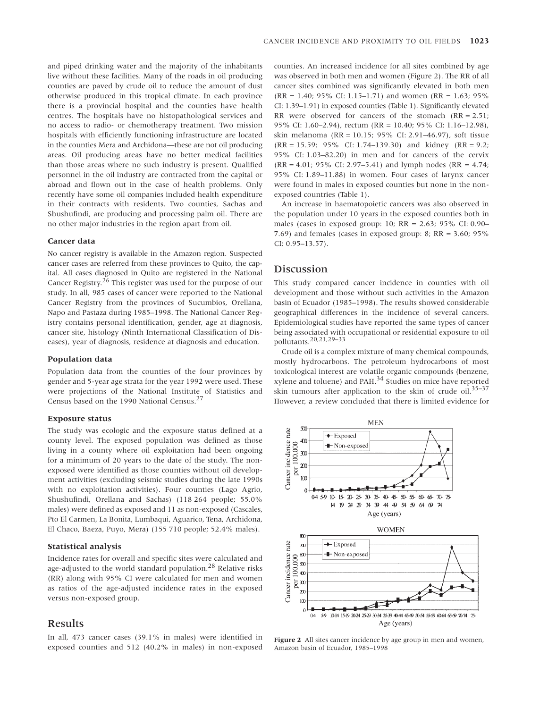and piped drinking water and the majority of the inhabitants live without these facilities. Many of the roads in oil producing counties are paved by crude oil to reduce the amount of dust otherwise produced in this tropical climate. In each province there is a provincial hospital and the counties have health centres. The hospitals have no histopathological services and no access to radio- or chemotherapy treatment. Two mission hospitals with efficiently functioning infrastructure are located in the counties Mera and Archidona—these are not oil producing areas. Oil producing areas have no better medical facilities than those areas where no such industry is present. Qualified personnel in the oil industry are contracted from the capital or abroad and flown out in the case of health problems. Only recently have some oil companies included health expenditure in their contracts with residents. Two counties, Sachas and Shushufindi, are producing and processing palm oil. There are no other major industries in the region apart from oil.

#### **Cancer data**

No cancer registry is available in the Amazon region. Suspected cancer cases are referred from these provinces to Quito, the capital. All cases diagnosed in Quito are registered in the National Cancer Registry.<sup>26</sup> This register was used for the purpose of our study. In all, 985 cases of cancer were reported to the National Cancer Registry from the provinces of Sucumbios, Orellana, Napo and Pastaza during 1985–1998. The National Cancer Registry contains personal identification, gender, age at diagnosis, cancer site, histology (Ninth International Classification of Diseases), year of diagnosis, residence at diagnosis and education.

#### **Population data**

Population data from the counties of the four provinces by gender and 5-year age strata for the year 1992 were used. These were projections of the National Institute of Statistics and Census based on the 1990 National Census.27

#### **Exposure status**

The study was ecologic and the exposure status defined at a county level. The exposed population was defined as those living in a county where oil exploitation had been ongoing for a minimum of 20 years to the date of the study. The nonexposed were identified as those counties without oil development activities (excluding seismic studies during the late 1990s with no exploitation activities). Four counties (Lago Agrio, Shushufindi, Orellana and Sachas) (118 264 people; 55.0% males) were defined as exposed and 11 as non-exposed (Cascales, Pto El Carmen, La Bonita, Lumbaqui, Aguarico, Tena, Archidona, El Chaco, Baeza, Puyo, Mera) (155 710 people; 52.4% males).

#### **Statistical analysis**

Incidence rates for overall and specific sites were calculated and age-adjusted to the world standard population.<sup>28</sup> Relative risks (RR) along with 95% CI were calculated for men and women as ratios of the age-adjusted incidence rates in the exposed versus non-exposed group.

### Results

In all, 473 cancer cases (39.1% in males) were identified in exposed counties and 512 (40.2% in males) in non-exposed counties. An increased incidence for all sites combined by age was observed in both men and women (Figure 2). The RR of all cancer sites combined was significantly elevated in both men  $(RR = 1.40; 95\% \text{ CI: } 1.15 - 1.71)$  and women  $(RR = 1.63; 95\%$ CI: 1.39–1.91) in exposed counties (Table 1). Significantly elevated RR were observed for cancers of the stomach  $(RR = 2.51)$ ; 95% CI: 1.60–2.94), rectum (RR = 10.40; 95% CI: 1.16–12.98), skin melanoma (RR = 10.15; 95% CI: 2.91–46.97), soft tissue (RR = 15.59; 95% CI: 1.74–139.30) and kidney (RR = 9.2; 95% CI: 1.03–82.20) in men and for cancers of the cervix  $(RR = 4.01; 95\% \text{ CI: } 2.97 - 5.41)$  and lymph nodes  $(RR = 4.74;$ 95% CI: 1.89–11.88) in women. Four cases of larynx cancer were found in males in exposed counties but none in the nonexposed countries (Table 1).

An increase in haematopoietic cancers was also observed in the population under 10 years in the exposed counties both in males (cases in exposed group: 10; RR = 2.63; 95% CI: 0.90– 7.69) and females (cases in exposed group: 8;  $RR = 3.60$ ; 95% CI: 0.95–13.57).

## Discussion

This study compared cancer incidence in counties with oil development and those without such activities in the Amazon basin of Ecuador (1985–1998). The results showed considerable geographical differences in the incidence of several cancers. Epidemiological studies have reported the same types of cancer being associated with occupational or residential exposure to oil pollutants.20,21,29–33

Crude oil is a complex mixture of many chemical compounds, mostly hydrocarbons. The petroleum hydrocarbons of most toxicological interest are volatile organic compounds (benzene, xylene and toluene) and PAH.34 Studies on mice have reported skin tumours after application to the skin of crude oil.<sup>35-37</sup> However, a review concluded that there is limited evidence for



**Figure 2** All sites cancer incidence by age group in men and women, Amazon basin of Ecuador, 1985–1998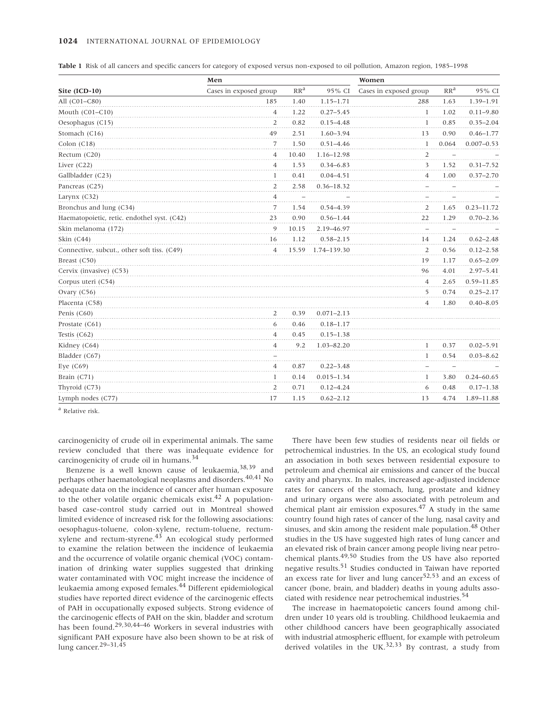#### **1024** INTERNATIONAL JOURNAL OF EPIDEMIOLOGY

|  | Table 1 Risk of all cancers and specific cancers for category of exposed versus non-exposed to oil pollution, Amazon region, 1985-1998 |  |  |  |  |  |  |  |  |
|--|----------------------------------------------------------------------------------------------------------------------------------------|--|--|--|--|--|--|--|--|
|--|----------------------------------------------------------------------------------------------------------------------------------------|--|--|--|--|--|--|--|--|

|                                             | Men                    | Women  |                |                        |        |                |
|---------------------------------------------|------------------------|--------|----------------|------------------------|--------|----------------|
| Site (ICD-10)                               | Cases in exposed group | $RR^a$ | 95% CI         | Cases in exposed group | $RR^a$ | 95% CI         |
| All (C01-C80)                               | 185                    | 1.40   | $1.15 - 1.71$  | 288                    | 1.63   | 1.39-1.91      |
| Mouth (C01-C10)                             | 4                      | 1.22   | $0.27 - 5.45$  | 1                      | 1.02   | $0.11 - 9.80$  |
| Oesophagus (C15)                            | 2                      | 0.82   | $0.15 - 4.48$  | 1                      | 0.85   | $0.35 - 2.04$  |
| Stomach (C16)                               | 49                     | 2.51   | $1.60 - 3.94$  | 13                     | 0.90   | $0.46 - 1.77$  |
| Colon (C18)                                 | 7                      | 1.50   | $0.51 - 4.46$  | 1                      | 0.064  | $0.007 - 0.53$ |
| Rectum (C20)                                | 4                      | 10.40  | 1.16-12.98     | $\frac{2}{\cdot}$      |        |                |
| Liver (C22)                                 | 4                      | 1.53   | $0.34 - 6.83$  | 3                      | 1.52   | $0.31 - 7.52$  |
| Gallbladder (C23)                           | 1                      | 0.41   | $0.04 - 4.51$  | $\overline{4}$         | 1.00   | $0.37 - 2.70$  |
| Pancreas (C25)                              | 2                      | 2.58   | $0.36 - 18.32$ |                        |        |                |
| Larynx (C32)                                | $\overline{4}$         |        |                |                        |        |                |
| Bronchus and lung (C34)                     | 7                      | 1.54   | $0.54 - 4.39$  | 2                      | 1.65   | $0.23 - 11.72$ |
| Haematopoietic, retic. endothel syst. (C42) | 23                     | 0.90   | $0.56 - 1.44$  | 22<br>1.1.1.1          | 1.29   | $0.70 - 2.36$  |
| Skin melanoma (172)                         | 9                      | 10.15  | 2.19-46.97     |                        |        |                |
| Skin $(C44)$                                | 16                     | 1.12   | $0.58 - 2.15$  | 14                     | 1.24   | $0.62 - 2.48$  |
| Connective, subcut., other soft tiss. (C49) | 4                      | 15.59  | 1.74-139.30    | 2<br>.                 | 0.56   | $0.12 - 2.58$  |
| Breast (C50)                                |                        |        |                | 19                     | 1.17   | $0.65 - 2.09$  |
| Cervix (invasive) (C53)                     |                        |        |                | 96                     | 4.01   | $2.97 - 5.41$  |
| Corpus uteri (C54)                          |                        |        |                | 4                      | 2.65   | 0.59-11.85     |
| Ovary (C56)                                 |                        |        |                | 5                      | 0.74   | $0.25 - 2.17$  |
| Placenta (C58)                              |                        |        |                | $\overline{4}$         | 1.80   | $0.40 - 8.05$  |
| Penis (C60)                                 | 2                      | 0.39   | $0.071 - 2.13$ |                        |        |                |
| Prostate (C61)                              | 6                      | 0.46   | $0.18 - 1.17$  |                        |        |                |
| Testis $(C62)$                              | 4                      | 0.45   | $0.15 - 1.38$  |                        |        |                |
| Kidney (C64)                                | 4                      | 9.2    | $1.03 - 82.20$ |                        | 0.37   | $0.02 - 5.91$  |
| Bladder (C67)                               |                        |        |                | 1                      | 0.54   | $0.03 - 8.62$  |
| Eye $(C69)$                                 | 4                      | 0.87   | $0.22 - 3.48$  |                        |        |                |
| Brain (C71)                                 | 1                      | 0.14   | $0.015 - 1.34$ | 1                      | 3.80   | $0.24 - 60.65$ |
| Thyroid $(C73)$                             | 2                      | 0.71   | $0.12 - 4.24$  | 6                      | 0.48   | $0.17 - 1.38$  |
| Lymph nodes (C77)                           | 17                     | 1.15   | $0.62 - 2.12$  | 13                     | 4.74   | 1.89-11.88     |

<sup>a</sup> Relative risk.

carcinogenicity of crude oil in experimental animals. The same review concluded that there was inadequate evidence for carcinogenicity of crude oil in humans.<sup>34</sup>

Benzene is a well known cause of leukaemia, 38,39 and perhaps other haematological neoplasms and disorders.<sup>40,41</sup> No adequate data on the incidence of cancer after human exposure to the other volatile organic chemicals exist.<sup>42</sup> A populationbased case-control study carried out in Montreal showed limited evidence of increased risk for the following associations: oesophagus-toluene, colon-xylene, rectum-toluene, rectumxylene and rectum-styrene. $43$  An ecological study performed to examine the relation between the incidence of leukaemia and the occurrence of volatile organic chemical (VOC) contamination of drinking water supplies suggested that drinking water contaminated with VOC might increase the incidence of leukaemia among exposed females.44 Different epidemiological studies have reported direct evidence of the carcinogenic effects of PAH in occupationally exposed subjects. Strong evidence of the carcinogenic effects of PAH on the skin, bladder and scrotum has been found.<sup>29,30,44–46</sup> Workers in several industries with significant PAH exposure have also been shown to be at risk of lung cancer.<sup>29–31,45</sup>

There have been few studies of residents near oil fields or petrochemical industries. In the US, an ecological study found an association in both sexes between residential exposure to petroleum and chemical air emissions and cancer of the buccal cavity and pharynx. In males, increased age-adjusted incidence rates for cancers of the stomach, lung, prostate and kidney and urinary organs were also associated with petroleum and chemical plant air emission exposures.47 A study in the same country found high rates of cancer of the lung, nasal cavity and sinuses, and skin among the resident male population.<sup>48</sup> Other studies in the US have suggested high rates of lung cancer and an elevated risk of brain cancer among people living near petrochemical plants.49,50 Studies from the US have also reported negative results.51 Studies conducted in Taiwan have reported an excess rate for liver and lung cancer $52,53$  and an excess of cancer (bone, brain, and bladder) deaths in young adults associated with residence near petrochemical industries.<sup>54</sup>

The increase in haematopoietic cancers found among children under 10 years old is troubling. Childhood leukaemia and other childhood cancers have been geographically associated with industrial atmospheric effluent, for example with petroleum derived volatiles in the UK.<sup>32,33</sup> By contrast, a study from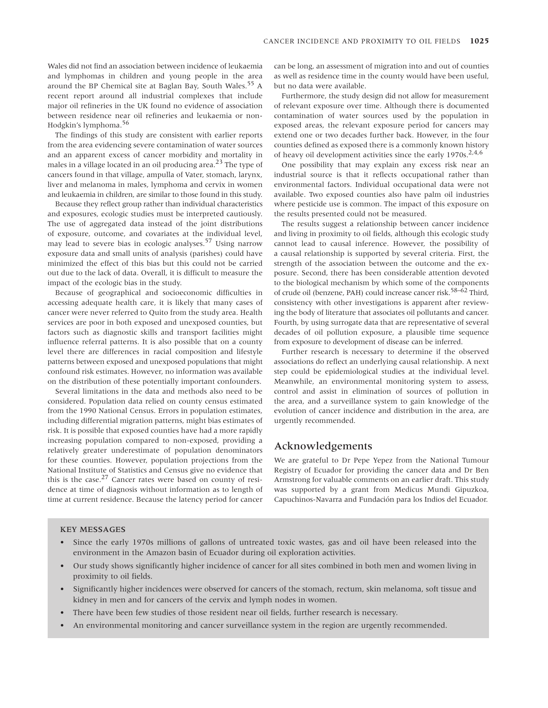Wales did not find an association between incidence of leukaemia and lymphomas in children and young people in the area around the BP Chemical site at Baglan Bay, South Wales.<sup>55</sup> A recent report around all industrial complexes that include major oil refineries in the UK found no evidence of association between residence near oil refineries and leukaemia or non-Hodgkin's lymphoma.56

The findings of this study are consistent with earlier reports from the area evidencing severe contamination of water sources and an apparent excess of cancer morbidity and mortality in males in a village located in an oil producing area.<sup>23</sup> The type of cancers found in that village, ampulla of Vater, stomach, larynx, liver and melanoma in males, lymphoma and cervix in women and leukaemia in children, are similar to those found in this study.

Because they reflect group rather than individual characteristics and exposures, ecologic studies must be interpreted cautiously. The use of aggregated data instead of the joint distributions of exposure, outcome, and covariates at the individual level, may lead to severe bias in ecologic analyses.<sup>57</sup> Using narrow exposure data and small units of analysis (parishes) could have minimized the effect of this bias but this could not be carried out due to the lack of data. Overall, it is difficult to measure the impact of the ecologic bias in the study.

Because of geographical and socioeconomic difficulties in accessing adequate health care, it is likely that many cases of cancer were never referred to Quito from the study area. Health services are poor in both exposed and unexposed counties, but factors such as diagnostic skills and transport facilities might influence referral patterns. It is also possible that on a county level there are differences in racial composition and lifestyle patterns between exposed and unexposed populations that might confound risk estimates. However, no information was available on the distribution of these potentially important confounders.

Several limitations in the data and methods also need to be considered. Population data relied on county census estimated from the 1990 National Census. Errors in population estimates, including differential migration patterns, might bias estimates of risk. It is possible that exposed counties have had a more rapidly increasing population compared to non-exposed, providing a relatively greater underestimate of population denominators for these counties. However, population projections from the National Institute of Statistics and Census give no evidence that this is the case. $27$  Cancer rates were based on county of residence at time of diagnosis without information as to length of time at current residence. Because the latency period for cancer

can be long, an assessment of migration into and out of counties as well as residence time in the county would have been useful, but no data were available.

Furthermore, the study design did not allow for measurement of relevant exposure over time. Although there is documented contamination of water sources used by the population in exposed areas, the relevant exposure period for cancers may extend one or two decades further back. However, in the four counties defined as exposed there is a commonly known history of heavy oil development activities since the early  $1970s$ .<sup>2,4,6</sup>

One possibility that may explain any excess risk near an industrial source is that it reflects occupational rather than environmental factors. Individual occupational data were not available. Two exposed counties also have palm oil industries where pesticide use is common. The impact of this exposure on the results presented could not be measured.

The results suggest a relationship between cancer incidence and living in proximity to oil fields, although this ecologic study cannot lead to causal inference. However, the possibility of a causal relationship is supported by several criteria. First, the strength of the association between the outcome and the exposure. Second, there has been considerable attention devoted to the biological mechanism by which some of the components of crude oil (benzene, PAH) could increase cancer risk.<sup>58–62</sup> Third. consistency with other investigations is apparent after reviewing the body of literature that associates oil pollutants and cancer. Fourth, by using surrogate data that are representative of several decades of oil pollution exposure, a plausible time sequence from exposure to development of disease can be inferred.

Further research is necessary to determine if the observed associations do reflect an underlying causal relationship. A next step could be epidemiological studies at the individual level. Meanwhile, an environmental monitoring system to assess, control and assist in elimination of sources of pollution in the area, and a surveillance system to gain knowledge of the evolution of cancer incidence and distribution in the area, are urgently recommended.

## Acknowledgements

We are grateful to Dr Pepe Yepez from the National Tumour Registry of Ecuador for providing the cancer data and Dr Ben Armstrong for valuable comments on an earlier draft. This study was supported by a grant from Medicus Mundi Gipuzkoa, Capuchinos-Navarra and Fundación para los Indios del Ecuador.

### KEY MESSAGES

- Since the early 1970s millions of gallons of untreated toxic wastes, gas and oil have been released into the environment in the Amazon basin of Ecuador during oil exploration activities.
- Our study shows significantly higher incidence of cancer for all sites combined in both men and women living in proximity to oil fields.
- Significantly higher incidences were observed for cancers of the stomach, rectum, skin melanoma, soft tissue and kidney in men and for cancers of the cervix and lymph nodes in women.
- There have been few studies of those resident near oil fields, further research is necessary.
- An environmental monitoring and cancer surveillance system in the region are urgently recommended.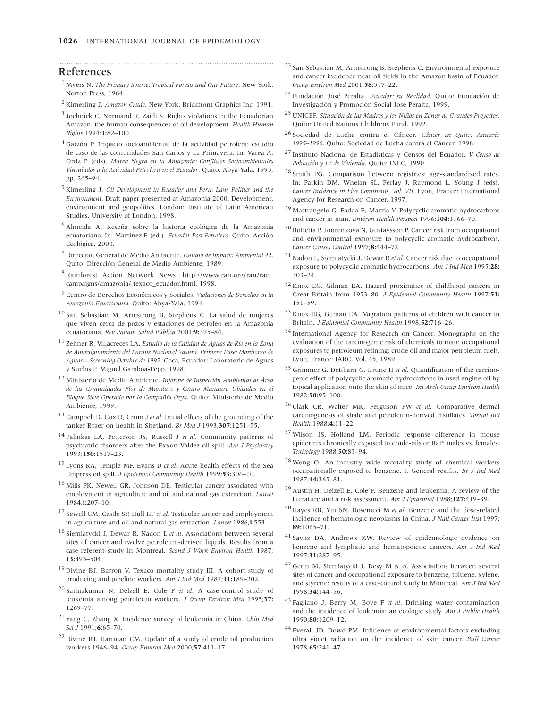#### References

- <sup>1</sup> Myers N. *The Primary Source: Tropical Forests and Our Future*. New York: Norton Press, 1984.
- <sup>2</sup> Kimerling J. *Amazon Crude*. New York: Brickfront Graphics Inc, 1991.
- $3$  Jochnick C, Normand R, Zaidi S. Rights violations in the Ecuadorian Amazon: the human consequences of oil development. *Health Human Rights* 1994;**1:**82–100.
- <sup>4</sup> Garzón P. Impacto socioambiental de la actividad petrolera: estudio de caso de las comunidades San Carlos y La Primavera. In: Varea A, Ortiz P (eds). *Marea Negra en la Amazonía: Conflictos Socioambientales Vinculados a la Actividad Petrolera en el Ecuador*. Quito: Abya-Yala, 1995, pp. 265–94.
- <sup>5</sup> Kimerling J. *Oil Development in Ecuador and Peru: Law, Politics and the Environment*. Draft paper presented at Amazonia 2000: Development, environment and geopolitics. London: Institute of Latin American Studies, University of London, 1998.
- <sup>6</sup> Almeida A. Reseña sobre la historia ecológica de la Amazonía ecuatoriana. In: Martínez E (ed.). *Ecuador Post Petrolero*. Quito: Acción Ecológica, 2000.
- <sup>7</sup> Dirección General de Medio Ambiente. *Estudio de Impacto Ambiental 42*. Quito: Dirección General de Medio Ambiente, 1989.
- <sup>8</sup> Rainforest Action Network News. [http://www.ran.org/ran/ran\\_](http://www.ran.org/ran/ran_) campaigns/amazonia/ texaco\_ecuador.html, 1998.
- <sup>9</sup> Centro de Derechos Económicos y Sociales. *Violaciones de Derechos en la Amazonía Ecuatoriana.* Quito: Abya-Yala, 1994.
- <sup>10</sup> San Sebastian M, Armstrong B, Stephens C. La salud de mujeres que viven cerca de pozos y estaciones de petróleo en la Amazonía ecuatoriana. *Rev Panam Salud Pública* 2001;**9:**375–84.
- <sup>11</sup> Zehner R, Villacreces LA. *Estudio de la Calidad de Aguas de Río en la Zona de Amortiguamiento del Parque Nacional Yasuní. Primera Fase: Monitoreo de Aguas—Screening Octubre de 1997*. Coca, Ecuador: Laboratorio de Aguas y Suelos P. Miguel Gamboa-Fepp, 1998.
- <sup>12</sup> Ministerio de Medio Ambiente. *Informe de Inspección Ambiental al Área de las Comunidades Flor de Manduro y Centro Manduro Ubicadas en el Bloque Siete Operado por la Compañía Oryx*. Quito: Ministerio de Medio Ambiente, 1999.
- <sup>13</sup> Campbell D, Cox D, Crum J *et al*. Initial effects of the grounding of the tanker Braer on health in Shetland. *Br Med J* 1993;**307:**1251–55.
- <sup>14</sup> Palinkas LA, Petterson JS, Russell J *et al*. Community patterns of psychiatric disorders after the Exxon Valdez oil spill. *Am J Psychiatry* 1993;**150:**1517–23.
- <sup>15</sup> Lyons RA, Temple MF, Evans D *et al*. Acute health effects of the Sea Empress oil spill. *J Epidemiol Community Health* 1999;**53:**306–10.
- <sup>16</sup> Mills PK, Newell GR, Johnson DE. Testicular cancer associated with employment in agriculture and oil and natural gas extraction. *Lancet* 1984;**i:**207–10.
- <sup>17</sup> Sewell CM, Castle SP, Hull HF *et al*. Testicular cancer and employment in agriculture and oil and natural gas extraction. *Lancet* 1986;**i:**553.
- <sup>18</sup> Siemiatycki J, Dewar R, Nadon L *et al*. Associations between several sites of cancer and twelve petroleum-derived liquids. Results from a case-referent study in Montreal. *Scand J Work Environ Health* 1987; **13:**493–504.
- <sup>19</sup> Divine BJ, Barron V. Texaco mortality study III. A cohort study of producing and pipeline workers. *Am J Ind Med* 1987;**11:**189–202.
- <sup>20</sup> Sathiakumar N, Delzell E, Cole P *et al*. A case-control study of leukemia among petroleum workers. *J Occup Environ Med* 1995;**37:** 1269–77.
- <sup>21</sup> Yang C, Zhang X. Incidence survey of leukemia in China. *Chin Med Sci J* 1991;**6:**65–70.
- <sup>22</sup> Divine BJ, Hartman CM. Update of a study of crude oil production workers 1946–94. *Occup Environ Med* 2000;**57:**411–17.
- <sup>23</sup> San Sebastian M, Armstrong B, Stephens C. Environmental exposure and cancer incidence near oil fields in the Amazon basin of Ecuador. *Occup Environ Med* 2001;**58:**517–22.
- <sup>24</sup> Fundación José Peralta. *Ecuador: su Realidad*. Quito: Fundación de Investigación y Promoción Social José Peralta, 1999.
- <sup>25</sup> UNICEF. *Situación de las Madres y los Niños en Zonas de Grandes Proyectos*. Quito: United Nations Childrens Fund, 1992.
- <sup>26</sup> Sociedad de Lucha contra el Cáncer. *Cáncer en Quito; Anuario 1995–1996*. Quito: Sociedad de Lucha contra el Cáncer, 1998.
- <sup>27</sup> Instituto Nacional de Estadísticas y Censos del Ecuador. *V Censo de Población y IV de Vivienda*. Quito: INEC, 1990.
- <sup>28</sup> Smith PG. Comparison between registries: age-standardized rates. In: Parkin DM, Whelan SL, Ferlay J, Raymond L, Young J (eds). *Cancer Incidence in Five Continents, Vol. VII*. Lyon, France: International Agency for Research on Cancer, 1997.
- <sup>29</sup> Mastrangelo G, Fadda E, Marzia V. Polycyclic aromatic hydrocarbons and cancer in man. *Environ Health Perspect* 1996;**104:**1166–70.
- <sup>30</sup> Boffetta P, Jourenkova N, Gustavsson P. Cancer risk from occupational and environmental exposure to polycyclic aromatic hydrocarbons. *Cancer Causes Control* 1997;**8:**444–72.
- <sup>31</sup> Nadon L, Siemiatycki J, Dewar R *et al*. Cancer risk due to occupational exposure to polycyclic aromatic hydrocarbons. *Am J Ind Med* 1995;**28:** 303–24.
- <sup>32</sup> Knox EG, Gilman EA. Hazard proximities of childhood cancers in Great Britain from 1953–80. *J Epidemiol Community Health* 1997;**51:** 151–59.
- <sup>33</sup> Knox EG, Gilman EA. Migration patterns of children with cancer in Britain. *J Epidemiol Community Health* 1998;**52:**716–26.
- <sup>34</sup> International Agency for Research on Cancer. Monographs on the evaluation of the carcinogenic risk of chemicals to man: occupational exposures to petroleum refining; crude oil and major petroleum fuels. Lyon, France: IARC, Vol. 45, 1989.
- <sup>35</sup> Grimmer G, Dettbarn G, Brune H *et al*. Quantification of the carcinogenic effect of polycyclic aromatic hydrocarbons in used engine oil by topical application onto the skin of mice. *Int Arch Occup Environ Health* 1982;**50:**95–100.
- <sup>36</sup> Clark CR, Walter MK, Ferguson PW *et al*. Comparative dermal carcinogenesis of shale and petroleum-derived distillates. *Toxicol Ind Health* 1988;**4:**11–22.
- <sup>37</sup> Wilson JS, Holland LM. Periodic response difference in mouse epidermis chronically exposed to crude-oils or BaP: males vs. females. *Toxicology* 1988;**50:**83–94.
- <sup>38</sup> Wong O. An industry wide mortality study of chemical workers occupationally exposed to benzene. I. General results. *Br J Ind Med* 1987;**44:**365–81.
- <sup>39</sup> Austin H, Delzell E, Cole P. Benzene and leukemia. A review of the literature and a risk assessment. *Am J Epidemiol* 1988;**127:**419–39.
- <sup>40</sup> Hayes RB, Yin SN, Dosemeci M *et al*. Benzene and the dose-related incidence of hematologic neoplasms in China. *J Natl Cancer Inst* 1997; **89:**1065–71.
- <sup>41</sup> Savitz DA, Andrews KW. Review of epidemiologic evidence on benzene and lymphatic and hematopoietic cancers. *Am J Ind Med* 1997;**31:**287–95.
- <sup>42</sup> Gerin M, Siemiatycki J, Desy M *et al*. Associations between several sites of cancer and occupational exposure to benzene, toluene, xylene, and styrene: results of a case-control study in Montreal. *Am J Ind Med* 1998;**34:**144–56.
- <sup>43</sup> Fagliano J, Berry M, Bove F *et al*. Drinking water contamination and the incidence of leukemia: an ecologic study. *Am J Public Health* 1990;**80:**1209–12.
- <sup>44</sup> Everall JD, Dowd PM. Influence of environmental factors excluding ultra violet radiation on the incidence of skin cancer. *Bull Cancer* 1978;**65:**241–47.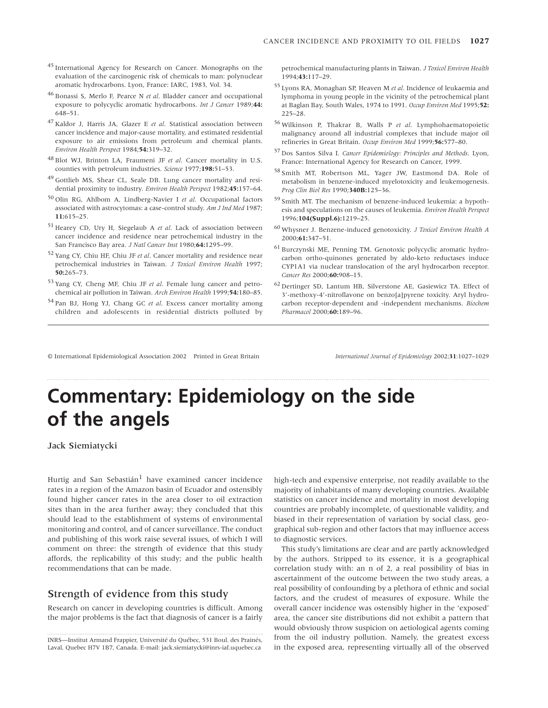- <sup>45</sup> International Agency for Research on Cancer. Monographs on the evaluation of the carcinogenic risk of chemicals to man: polynuclear aromatic hydrocarbons. Lyon, France: IARC, 1983, Vol. 34.
- <sup>46</sup> Bonassi S, Merlo F, Pearce N *et al*. Bladder cancer and occupational exposure to polycyclic aromatic hydrocarbons. *Int J Cancer* 1989;**44:** 648–51.
- <sup>47</sup> Kaldor J, Harris JA, Glazer E *et al*. Statistical association between cancer incidence and major-cause mortality, and estimated residential exposure to air emissions from petroleum and chemical plants. *Environ Health Perspect* 1984;**54:**319–32.
- <sup>48</sup> Blot WJ, Brinton LA, Fraumeni JF *et al*. Cancer mortality in U.S. counties with petroleum industries. *Science* 1977;**198:**51–53.
- <sup>49</sup> Gottlieb MS, Shear CL, Seale DB. Lung cancer mortality and residential proximity to industry. *Environ Health Perspect* 1982;**45:**157–64.
- <sup>50</sup> Olin RG, Ahlbom A, Lindberg-Navier I *et al*. Occupational factors associated with astrocytomas: a case-control study. *Am J Ind Med* 1987; **11:**615–25.
- <sup>51</sup> Hearey CD, Ury H, Siegelaub A *et al*. Lack of association between cancer incidence and residence near petrochemical industry in the San Francisco Bay area. *J Natl Cancer Inst* 1980;**64:**1295–99.
- <sup>52</sup> Yang CY, Chiu HF, Chiu JF *et al*. Cancer mortality and residence near petrochemical industries in Taiwan. *J Toxicol Environ Health* 1997; **50:**265–73.
- <sup>53</sup> Yang CY, Cheng MF, Chiu JF *et al*. Female lung cancer and petrochemical air pollution in Taiwan. *Arch Environ Health* 1999;**54:**180–85.
- <sup>54</sup> Pan BJ, Hong YJ, Chang GC *et al*. Excess cancer mortality among children and adolescents in residential districts polluted by

petrochemical manufacturing plants in Taiwan. *J Toxicol Environ Health* 1994;**43:**117–29.

- <sup>55</sup> Lyons RA, Monaghan SP, Heaven M *et al*. Incidence of leukaemia and lymphoma in young people in the vicinity of the petrochemical plant at Baglan Bay, South Wales, 1974 to 1991. *Occup Environ Med* 1995;**52:** 225–28.
- <sup>56</sup> Wilkinson P, Thakrar B, Walls P *et al*. Lymphohaematopoietic malignancy around all industrial complexes that include major oil refineries in Great Britain. *Occup Environ Med* 1999;**56:**577–80.
- <sup>57</sup> Dos Santos Silva I. *Cancer Epidemiology: Principles and Methods*. Lyon, France: International Agency for Research on Cancer, 1999.
- <sup>58</sup> Smith MT, Robertson ML, Yager JW, Eastmond DA. Role of metabolism in benzene-induced myelotoxicity and leukemogenesis. *Prog Clin Biol Res* 1990;**340B:**125–36.
- <sup>59</sup> Smith MT. The mechanism of benzene-induced leukemia: a hypothesis and speculations on the causes of leukemia. *Environ Health Perspect* 1996;**104(Suppl.6):**1219–25.
- <sup>60</sup> Whysner J. Benzene-induced genotoxicity. *J Toxicol Environ Health A* 2000;**61:**347–51.
- <sup>61</sup> Burczynski ME, Penning TM. Genotoxic polycyclic aromatic hydrocarbon ortho-quinones generated by aldo-keto reductases induce CYP1A1 via nuclear translocation of the aryl hydrocarbon receptor. *Cancer Res* 2000;**60:**908–15.
- <sup>62</sup> Dertinger SD, Lantum HB, Silverstone AE, Gasiewicz TA. Effect of 3'-methoxy-4'-nitroflavone on benzo[a]pyrene toxicity. Aryl hydrocarbon receptor-dependent and -independent mechanisms. *Biochem Pharmacol* 2000;**60:**189–96.

© International Epidemiological Association 2002 Printed in Great Britain *International Journal of Epidemiology* 2002;**31**:1027–1029

# **Commentary: Epidemiology on the side of the angels**

Jack Siemiatycki

Hurtig and San Sebastián<sup>1</sup> have examined cancer incidence rates in a region of the Amazon basin of Ecuador and ostensibly found higher cancer rates in the area closer to oil extraction sites than in the area further away; they concluded that this should lead to the establishment of systems of environmental monitoring and control, and of cancer surveillance. The conduct and publishing of this work raise several issues, of which I will comment on three: the strength of evidence that this study affords, the replicability of this study; and the public health recommendations that can be made.

## Strength of evidence from this study

Research on cancer in developing countries is difficult. Among the major problems is the fact that diagnosis of cancer is a fairly high-tech and expensive enterprise, not readily available to the majority of inhabitants of many developing countries. Available statistics on cancer incidence and mortality in most developing countries are probably incomplete, of questionable validity, and biased in their representation of variation by social class, geographical sub-region and other factors that may influence access to diagnostic services.

This study's limitations are clear and are partly acknowledged by the authors. Stripped to its essence, it is a geographical correlation study with: an n of 2, a real possibility of bias in ascertainment of the outcome between the two study areas, a real possibility of confounding by a plethora of ethnic and social factors, and the crudest of measures of exposure. While the overall cancer incidence was ostensibly higher in the 'exposed' area, the cancer site distributions did not exhibit a pattern that would obviously throw suspicion on aetiological agents coming from the oil industry pollution. Namely, the greatest excess in the exposed area, representing virtually all of the observed

INRS—Institut Armand Frappier, Université du Québec, 531 Boul. des Prainés, Laval, Quebec H7V 1B7, Canada. E-mail: jack.siemiatycki@inrs-iaf.uquebec.ca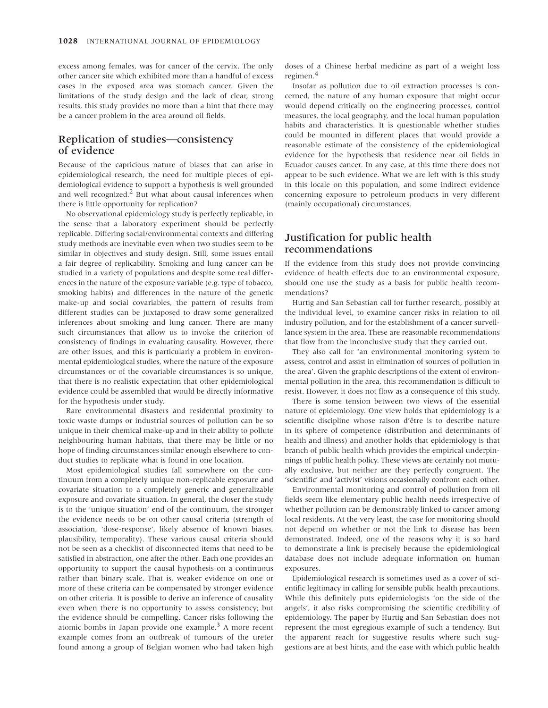excess among females, was for cancer of the cervix. The only other cancer site which exhibited more than a handful of excess cases in the exposed area was stomach cancer. Given the limitations of the study design and the lack of clear, strong results, this study provides no more than a hint that there may be a cancer problem in the area around oil fields.

## Replication of studies—consistency of evidence

Because of the capricious nature of biases that can arise in epidemiological research, the need for multiple pieces of epidemiological evidence to support a hypothesis is well grounded and well recognized.<sup>2</sup> But what about causal inferences when there is little opportunity for replication?

No observational epidemiology study is perfectly replicable, in the sense that a laboratory experiment should be perfectly replicable. Differing social/environmental contexts and differing study methods are inevitable even when two studies seem to be similar in objectives and study design. Still, some issues entail a fair degree of replicability. Smoking and lung cancer can be studied in a variety of populations and despite some real differences in the nature of the exposure variable (e.g. type of tobacco, smoking habits) and differences in the nature of the genetic make-up and social covariables, the pattern of results from different studies can be juxtaposed to draw some generalized inferences about smoking and lung cancer. There are many such circumstances that allow us to invoke the criterion of consistency of findings in evaluating causality. However, there are other issues, and this is particularly a problem in environmental epidemiological studies, where the nature of the exposure circumstances or of the covariable circumstances is so unique, that there is no realistic expectation that other epidemiological evidence could be assembled that would be directly informative for the hypothesis under study.

Rare environmental disasters and residential proximity to toxic waste dumps or industrial sources of pollution can be so unique in their chemical make-up and in their ability to pollute neighbouring human habitats, that there may be little or no hope of finding circumstances similar enough elsewhere to conduct studies to replicate what is found in one location.

Most epidemiological studies fall somewhere on the continuum from a completely unique non-replicable exposure and covariate situation to a completely generic and generalizable exposure and covariate situation. In general, the closer the study is to the 'unique situation' end of the continuum, the stronger the evidence needs to be on other causal criteria (strength of association, 'dose-response', likely absence of known biases, plausibility, temporality). These various causal criteria should not be seen as a checklist of disconnected items that need to be satisfied in abstraction, one after the other. Each one provides an opportunity to support the causal hypothesis on a continuous rather than binary scale. That is, weaker evidence on one or more of these criteria can be compensated by stronger evidence on other criteria. It is possible to derive an inference of causality even when there is no opportunity to assess consistency; but the evidence should be compelling. Cancer risks following the atomic bombs in Japan provide one example.<sup>3</sup> A more recent example comes from an outbreak of tumours of the ureter found among a group of Belgian women who had taken high doses of a Chinese herbal medicine as part of a weight loss regimen.<sup>4</sup>

Insofar as pollution due to oil extraction processes is concerned, the nature of any human exposure that might occur would depend critically on the engineering processes, control measures, the local geography, and the local human population habits and characteristics. It is questionable whether studies could be mounted in different places that would provide a reasonable estimate of the consistency of the epidemiological evidence for the hypothesis that residence near oil fields in Ecuador causes cancer. In any case, at this time there does not appear to be such evidence. What we are left with is this study in this locale on this population, and some indirect evidence concerning exposure to petroleum products in very different (mainly occupational) circumstances.

## Justification for public health recommendations

If the evidence from this study does not provide convincing evidence of health effects due to an environmental exposure, should one use the study as a basis for public health recommendations?

Hurtig and San Sebastian call for further research, possibly at the individual level, to examine cancer risks in relation to oil industry pollution, and for the establishment of a cancer surveillance system in the area. These are reasonable recommendations that flow from the inconclusive study that they carried out.

They also call for 'an environmental monitoring system to assess, control and assist in elimination of sources of pollution in the area'. Given the graphic descriptions of the extent of environmental pollution in the area, this recommendation is difficult to resist. However, it does not flow as a consequence of this study.

There is some tension between two views of the essential nature of epidemiology. One view holds that epidemiology is a scientific discipline whose raison d'être is to describe nature in its sphere of competence (distribution and determinants of health and illness) and another holds that epidemiology is that branch of public health which provides the empirical underpinnings of public health policy. These views are certainly not mutually exclusive, but neither are they perfectly congruent. The 'scientific' and 'activist' visions occasionally confront each other.

Environmental monitoring and control of pollution from oil fields seem like elementary public health needs irrespective of whether pollution can be demonstrably linked to cancer among local residents. At the very least, the case for monitoring should not depend on whether or not the link to disease has been demonstrated. Indeed, one of the reasons why it is so hard to demonstrate a link is precisely because the epidemiological database does not include adequate information on human exposures.

Epidemiological research is sometimes used as a cover of scientific legitimacy in calling for sensible public health precautions. While this definitely puts epidemiologists 'on the side of the angels', it also risks compromising the scientific credibility of epidemiology. The paper by Hurtig and San Sebastian does not represent the most egregious example of such a tendency. But the apparent reach for suggestive results where such suggestions are at best hints, and the ease with which public health